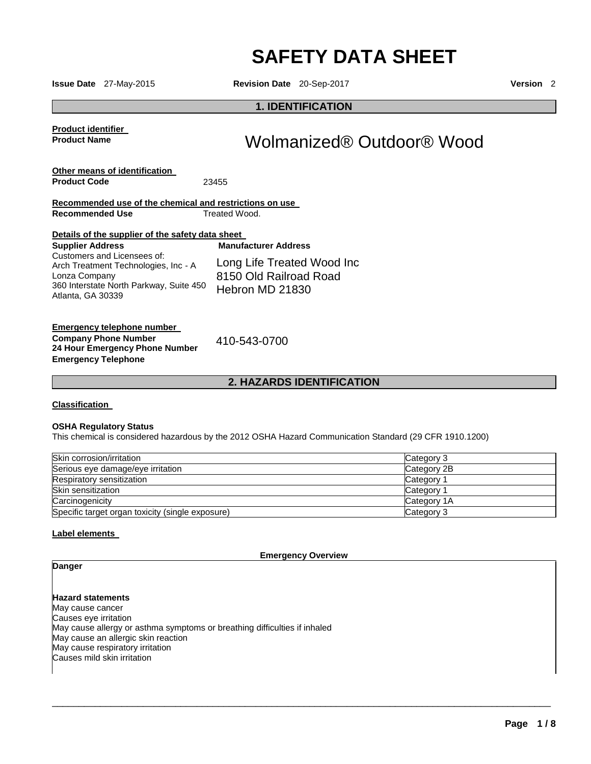# **SAFETY DATA SHEET**

**Issue Date** 27-May-2015 **Revision Date** 20-Sep-2017 **Version** 2

#### **1. IDENTIFICATION**

**Product identifier Product Name** 

## Wolmanized® Outdoor® Wood

**Other means of identification Product Code** 23455

**Recommended use of the chemical and restrictions on use Recommended Use Treated Wood.** 

| Details of the supplier of the safety data sheet                                                                                                     |                                                                         |  |
|------------------------------------------------------------------------------------------------------------------------------------------------------|-------------------------------------------------------------------------|--|
| <b>Supplier Address</b>                                                                                                                              | <b>Manufacturer Address</b>                                             |  |
| Customers and Licensees of:<br>Arch Treatment Technologies, Inc - A<br>Lonza Company<br>360 Interstate North Parkway, Suite 450<br>Atlanta, GA 30339 | Long Life Treated Wood Inc<br>8150 Old Railroad Road<br>Hebron MD 21830 |  |

#### **Emergency telephone number Company Phone Number 24 Hour Emergency Phone Number Emergency Telephone**

410-543-0700

**2. HAZARDS IDENTIFICATION**

#### **Classification**

#### **OSHA Regulatory Status**

This chemical is considered hazardous by the 2012 OSHA Hazard Communication Standard (29 CFR 1910.1200)

| Skin corrosion/irritation                        | Category 3            |
|--------------------------------------------------|-----------------------|
| Serious eye damage/eye irritation                | Category 2B           |
| Respiratory sensitization                        | Category              |
| Skin sensitization                               | Category <sup>2</sup> |
| Carcinogenicity                                  | Category 1A           |
| Specific target organ toxicity (single exposure) | Category 3            |

#### **Label elements**

**Emergency Overview** 

\_\_\_\_\_\_\_\_\_\_\_\_\_\_\_\_\_\_\_\_\_\_\_\_\_\_\_\_\_\_\_\_\_\_\_\_\_\_\_\_\_\_\_\_\_\_\_\_\_\_\_\_\_\_\_\_\_\_\_\_\_\_\_\_\_\_\_\_\_\_\_\_\_\_\_\_\_\_\_\_\_\_\_\_\_\_\_\_\_\_\_\_\_

### **Danger**

**Hazard statements** May cause cancer Causes eye irritation May cause allergy or asthma symptoms or breathing difficulties if inhaled May cause an allergic skin reaction May cause respiratory irritation Causes mild skin irritation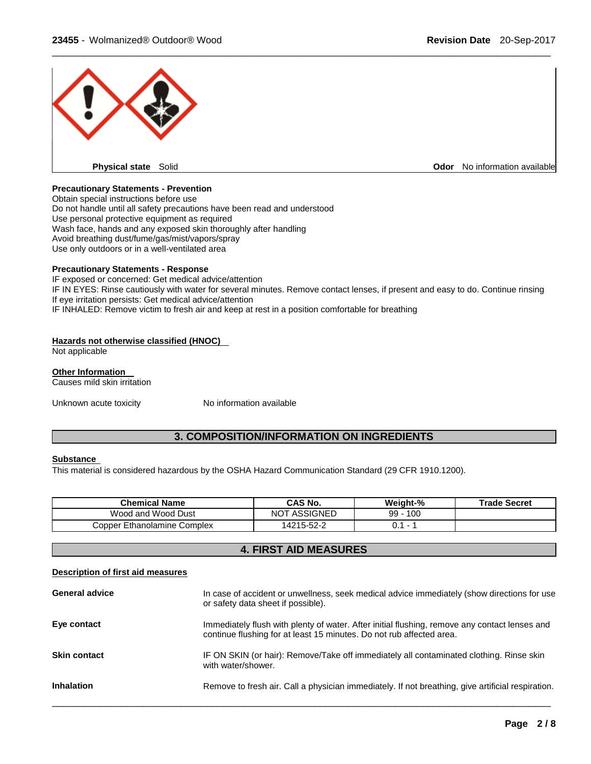

#### **Precautionary Statements - Prevention**

Obtain special instructions before use Do not handle until all safety precautions have been read and understood Use personal protective equipment as required Wash face, hands and any exposed skin thoroughly after handling Avoid breathing dust/fume/gas/mist/vapors/spray Use only outdoors or in a well-ventilated area

#### **Precautionary Statements - Response**

IF exposed or concerned: Get medical advice/attention IF IN EYES: Rinse cautiously with water for several minutes. Remove contact lenses, if present and easy to do. Continue rinsing If eye irritation persists: Get medical advice/attention IF INHALED: Remove victim to fresh air and keep at rest in a position comfortable for breathing

#### **Hazards not otherwise classified (HNOC)**

Not applicable

#### **Other Information**

Causes mild skin irritation

Unknown acute toxicity Mo information available

#### **3. COMPOSITION/INFORMATION ON INGREDIENTS**

#### **Substance**

This material is considered hazardous by the OSHA Hazard Communication Standard (29 CFR 1910.1200).

| <b>Chemical Name</b>        | CAS No.             | Weight-%    | <b>Trade Secret</b> |
|-----------------------------|---------------------|-------------|---------------------|
| Wood and Wood Dust          | <b>NOT ASSIGNED</b> | 99<br>- 100 |                     |
| Copper Ethanolamine Complex | 14215-52-2          |             |                     |

#### **4. FIRST AID MEASURES**

#### **Description of first aid measures**

| <b>General advice</b> | In case of accident or unwellness, seek medical advice immediately (show directions for use<br>or safety data sheet if possible).                                     |
|-----------------------|-----------------------------------------------------------------------------------------------------------------------------------------------------------------------|
| Eye contact           | Immediately flush with plenty of water. After initial flushing, remove any contact lenses and<br>continue flushing for at least 15 minutes. Do not rub affected area. |
| <b>Skin contact</b>   | IF ON SKIN (or hair): Remove/Take off immediately all contaminated clothing. Rinse skin<br>with water/shower.                                                         |
| <b>Inhalation</b>     | Remove to fresh air. Call a physician immediately. If not breathing, give artificial respiration.                                                                     |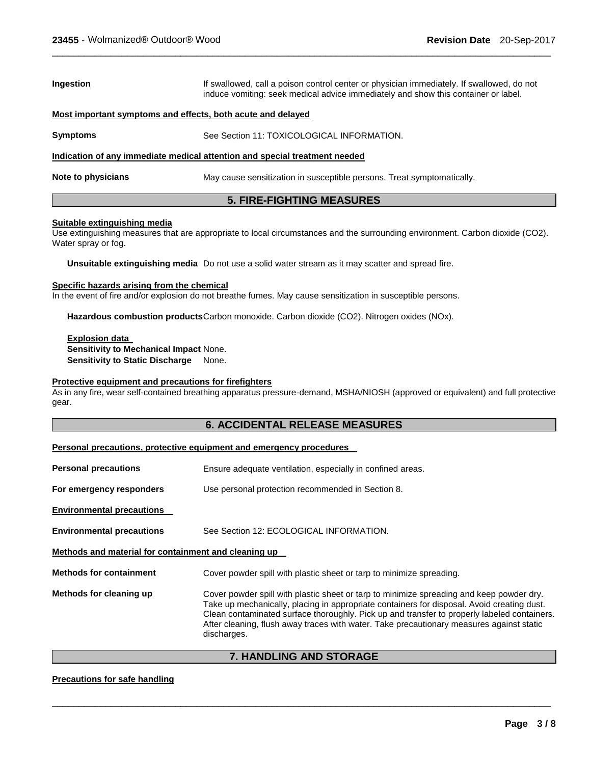| Ingestion                                                                  | If swallowed, call a poison control center or physician immediately. If swallowed, do not<br>induce vomiting: seek medical advice immediately and show this container or label. |  |
|----------------------------------------------------------------------------|---------------------------------------------------------------------------------------------------------------------------------------------------------------------------------|--|
| Most important symptoms and effects, both acute and delayed                |                                                                                                                                                                                 |  |
| <b>Symptoms</b>                                                            | See Section 11: TOXICOLOGICAL INFORMATION.                                                                                                                                      |  |
| Indication of any immediate medical attention and special treatment needed |                                                                                                                                                                                 |  |
| Note to physicians                                                         | May cause sensitization in susceptible persons. Treat symptomatically.                                                                                                          |  |

#### **5. FIRE-FIGHTING MEASURES**

#### **Suitable extinguishing media**

Use extinguishing measures that are appropriate to local circumstances and the surrounding environment. Carbon dioxide (CO2). Water spray or fog.

**Unsuitable extinguishing media** Do not use a solid water stream as it may scatter and spread fire.

#### **Specific hazards arising from the chemical**

In the event of fire and/or explosion do not breathe fumes. May cause sensitization in susceptible persons.

Hazardous combustion products Carbon monoxide. Carbon dioxide (CO2). Nitrogen oxides (NOx).

**Explosion data Sensitivity to Mechanical Impact** None. **Sensitivity to Static Discharge** None.

#### **Protective equipment and precautions for firefighters**

As in any fire, wear self-contained breathing apparatus pressure-demand, MSHA/NIOSH (approved or equivalent) and full protective gear.

#### **6. ACCIDENTAL RELEASE MEASURES**

#### **Personal precautions, protective equipment and emergency procedures**

| <b>Personal precautions</b>                          | Ensure adequate ventilation, especially in confined areas.                                                                                                                                                                                                                                                                                                                                       |  |
|------------------------------------------------------|--------------------------------------------------------------------------------------------------------------------------------------------------------------------------------------------------------------------------------------------------------------------------------------------------------------------------------------------------------------------------------------------------|--|
| For emergency responders                             | Use personal protection recommended in Section 8.                                                                                                                                                                                                                                                                                                                                                |  |
| <b>Environmental precautions</b>                     |                                                                                                                                                                                                                                                                                                                                                                                                  |  |
| <b>Environmental precautions</b>                     | See Section 12: ECOLOGICAL INFORMATION.                                                                                                                                                                                                                                                                                                                                                          |  |
| Methods and material for containment and cleaning up |                                                                                                                                                                                                                                                                                                                                                                                                  |  |
| <b>Methods for containment</b>                       | Cover powder spill with plastic sheet or tarp to minimize spreading.                                                                                                                                                                                                                                                                                                                             |  |
| Methods for cleaning up                              | Cover powder spill with plastic sheet or tarp to minimize spreading and keep powder dry.<br>Take up mechanically, placing in appropriate containers for disposal. Avoid creating dust.<br>Clean contaminated surface thoroughly. Pick up and transfer to properly labeled containers.<br>After cleaning, flush away traces with water. Take precautionary measures against static<br>discharges. |  |

#### **7. HANDLING AND STORAGE**

\_\_\_\_\_\_\_\_\_\_\_\_\_\_\_\_\_\_\_\_\_\_\_\_\_\_\_\_\_\_\_\_\_\_\_\_\_\_\_\_\_\_\_\_\_\_\_\_\_\_\_\_\_\_\_\_\_\_\_\_\_\_\_\_\_\_\_\_\_\_\_\_\_\_\_\_\_\_\_\_\_\_\_\_\_\_\_\_\_\_\_\_\_

#### **Precautions for safe handling**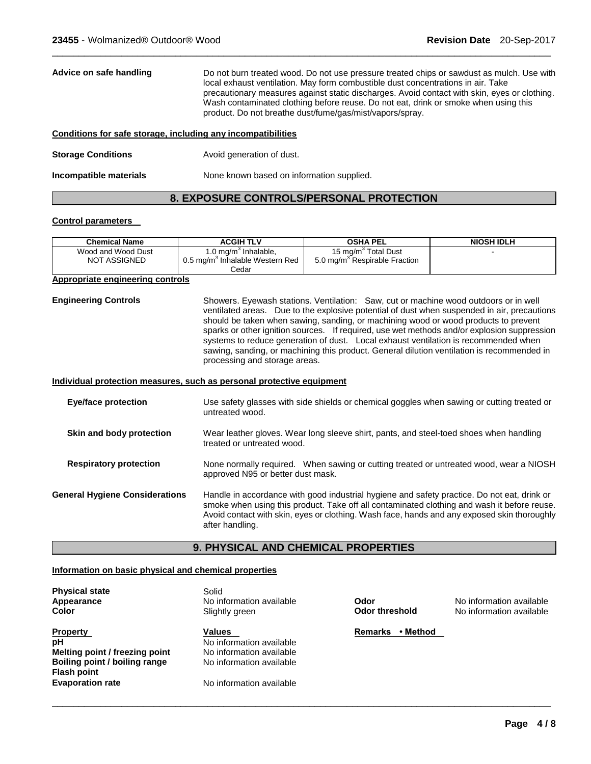| Advice on safe handling   | Do not burn treated wood. Do not use pressure treated chips or sawdust as mulch. Use with<br>local exhaust ventilation. May form combustible dust concentrations in air. Take<br>precautionary measures against static discharges. Avoid contact with skin, eyes or clothing.<br>Wash contaminated clothing before reuse. Do not eat, drink or smoke when using this<br>product. Do not breathe dust/fume/gas/mist/vapors/spray. |
|---------------------------|----------------------------------------------------------------------------------------------------------------------------------------------------------------------------------------------------------------------------------------------------------------------------------------------------------------------------------------------------------------------------------------------------------------------------------|
|                           | Conditions for safe storage, including any incompatibilities                                                                                                                                                                                                                                                                                                                                                                     |
| <b>Storage Conditions</b> | Avoid generation of dust.                                                                                                                                                                                                                                                                                                                                                                                                        |

#### **8. EXPOSURE CONTROLS/PERSONAL PROTECTION**

#### **Control parameters**

| <b>Chemical Name</b>                      | <b>ACGIH TLV</b>                                                                | <b>OSHA PEL</b>                                                              | <b>NIOSH IDLH</b> |
|-------------------------------------------|---------------------------------------------------------------------------------|------------------------------------------------------------------------------|-------------------|
| Wood and Wood Dust<br><b>NOT ASSIGNED</b> | 1.0 mg/m $3$ Inhalable,<br>0.5 mg/m <sup>3</sup> Inhalable Western Red<br>Cedar | 15 mg/m <sup>3</sup> Total Dust<br>5.0 mg/m <sup>3</sup> Respirable Fraction |                   |

#### **Appropriate engineering controls**

**Engineering Controls** Showers. Eyewash stations. Ventilation: Saw, cut or machine wood outdoors or in well ventilated areas. Due to the explosive potential of dust when suspended in air, precautions should be taken when sawing, sanding, or machining wood or wood products to prevent sparks or other ignition sources. If required, use wet methods and/or explosion suppression systems to reduce generation of dust. Local exhaust ventilation is recommended when sawing, sanding, or machining this product. General dilution ventilation is recommended in processing and storage areas.

#### **Individual protection measures, such as personal protective equipment**

**Incompatible materials None known based on information supplied.** 

| <b>Eye/face protection</b>            | Use safety glasses with side shields or chemical goggles when sawing or cutting treated or<br>untreated wood.                                                                                                                                                                                                |
|---------------------------------------|--------------------------------------------------------------------------------------------------------------------------------------------------------------------------------------------------------------------------------------------------------------------------------------------------------------|
| Skin and body protection              | Wear leather gloves. Wear long sleeve shirt, pants, and steel-toed shoes when handling<br>treated or untreated wood.                                                                                                                                                                                         |
| <b>Respiratory protection</b>         | None normally required. When sawing or cutting treated or untreated wood, wear a NIOSH<br>approved N95 or better dust mask.                                                                                                                                                                                  |
| <b>General Hygiene Considerations</b> | Handle in accordance with good industrial hygiene and safety practice. Do not eat, drink or<br>smoke when using this product. Take off all contaminated clothing and wash it before reuse.<br>Avoid contact with skin, eyes or clothing. Wash face, hands and any exposed skin thoroughly<br>after handling. |

#### **9. PHYSICAL AND CHEMICAL PROPERTIES**

\_\_\_\_\_\_\_\_\_\_\_\_\_\_\_\_\_\_\_\_\_\_\_\_\_\_\_\_\_\_\_\_\_\_\_\_\_\_\_\_\_\_\_\_\_\_\_\_\_\_\_\_\_\_\_\_\_\_\_\_\_\_\_\_\_\_\_\_\_\_\_\_\_\_\_\_\_\_\_\_\_\_\_\_\_\_\_\_\_\_\_\_\_

#### **Information on basic physical and chemical properties**

| <b>Physical state</b>          | Solid                    |                |          |
|--------------------------------|--------------------------|----------------|----------|
| Appearance                     | No information available | Odor           |          |
| Color                          | Slightly green           | Odor threshold |          |
| <b>Property</b>                | <b>Values</b>            | <b>Remarks</b> | • Method |
| pH                             | No information available |                |          |
| Melting point / freezing point | No information available |                |          |
| Boiling point / boiling range  | No information available |                |          |
| <b>Flash point</b>             |                          |                |          |
| <b>Evaporation rate</b>        | No information available |                |          |

**No information available No information available**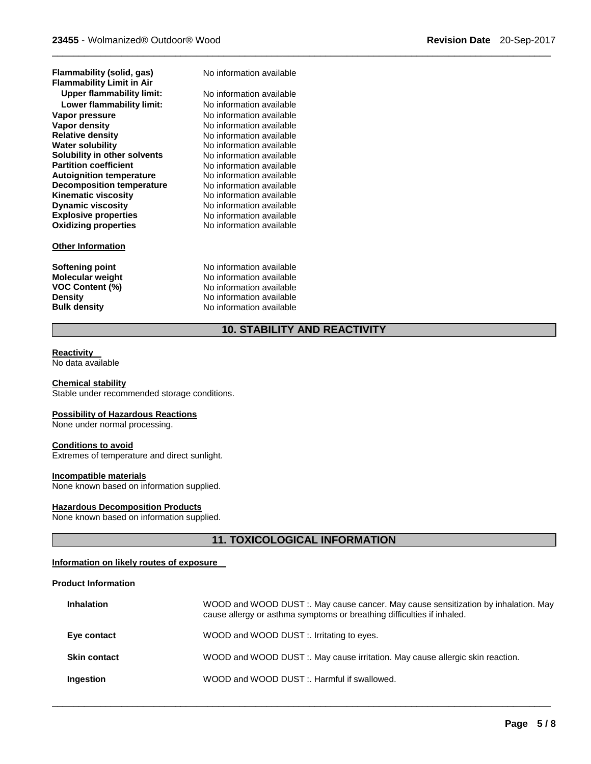| гтанннарнцу (Sonu, yas)          |
|----------------------------------|
| <b>Flammability Limit in Air</b> |
| Upper flammability limit:        |
| Lower flammability limit:        |
| Vapor pressure                   |
| Vapor density                    |
| <b>Relative density</b>          |
| <b>Water solubility</b>          |
| Solubility in other solvents     |
| <b>Partition coefficient</b>     |
| <b>Autoignition temperature</b>  |
| <b>Decomposition temperature</b> |
| <b>Kinematic viscosity</b>       |
| <b>Dynamic viscosity</b>         |
| <b>Explosive properties</b>      |
| <b>Oxidizing properties</b>      |

#### **Other Information**

**Flammability (solid, gas)** No information available

No information available **Lower flammability limit:** No information available **Vapor pressure** No information available **No information available Relative density** No information available **No information available No information available No information available No information available No information available No information available No information available Explosive properties** No information available **Oxidizing properties** No information available

**Softening point No information available**<br> **Molecular weight No information available Molecular weight <br>VOC Content (%) <br>No information available<br>Note information available No information available Density Density Density No information available Bulk density No information available Bulk density** No information available

#### **10. STABILITY AND REACTIVITY**

\_\_\_\_\_\_\_\_\_\_\_\_\_\_\_\_\_\_\_\_\_\_\_\_\_\_\_\_\_\_\_\_\_\_\_\_\_\_\_\_\_\_\_\_\_\_\_\_\_\_\_\_\_\_\_\_\_\_\_\_\_\_\_\_\_\_\_\_\_\_\_\_\_\_\_\_\_\_\_\_\_\_\_\_\_\_\_\_\_\_\_\_\_

#### **Reactivity**

No data available

#### **Chemical stability**

Stable under recommended storage conditions.

#### **Possibility of Hazardous Reactions**

None under normal processing.

#### **Conditions to avoid**

Extremes of temperature and direct sunlight.

#### **Incompatible materials**

None known based on information supplied.

#### **Hazardous Decomposition Products**

None known based on information supplied.

#### **11. TOXICOLOGICAL INFORMATION**

#### **Information on likely routes of exposure**

#### **Product Information**

| <b>Inhalation</b>   | WOOD and WOOD DUST :. May cause cancer. May cause sensitization by inhalation. May<br>cause allergy or asthma symptoms or breathing difficulties if inhaled. |
|---------------------|--------------------------------------------------------------------------------------------------------------------------------------------------------------|
| Eye contact         | WOOD and WOOD DUST :. Irritating to eyes.                                                                                                                    |
| <b>Skin contact</b> | WOOD and WOOD DUST :. May cause irritation. May cause allergic skin reaction.                                                                                |
| Ingestion           | WOOD and WOOD DUST: Harmful if swallowed.                                                                                                                    |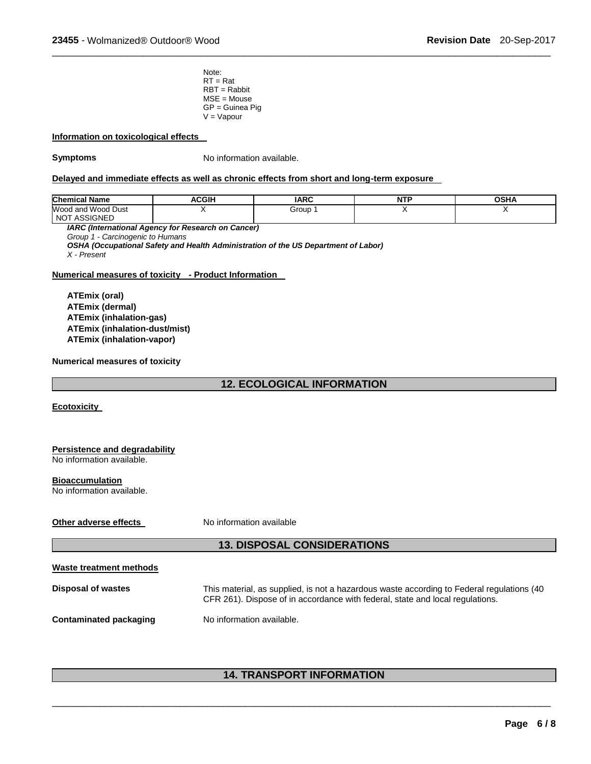Note:  $RT = Rat$ RBT = Rabbit MSE = Mouse GP = Guinea Pig  $V = Vapour$ 

#### **Information on toxicological effects**

**Symptoms** No information available.

#### **Delayed and immediate effects as well as chronic effects from short and long-term exposure**

| <b>Chemical Name</b>                                     | <b>ACGIH</b> | <b>IARC</b> | <b>NTP</b> | OSHA |
|----------------------------------------------------------|--------------|-------------|------------|------|
| Wood and Wood Dust<br><b>ASSIGNED</b><br>NO <sup>-</sup> |              | Group       | . .        |      |

\_\_\_\_\_\_\_\_\_\_\_\_\_\_\_\_\_\_\_\_\_\_\_\_\_\_\_\_\_\_\_\_\_\_\_\_\_\_\_\_\_\_\_\_\_\_\_\_\_\_\_\_\_\_\_\_\_\_\_\_\_\_\_\_\_\_\_\_\_\_\_\_\_\_\_\_\_\_\_\_\_\_\_\_\_\_\_\_\_\_\_\_\_

*IARC (International Agency for Research on Cancer)*

*Group 1 - Carcinogenic to Humans* 

*OSHA (Occupational Safety and Health Administration of the US Department of Labor)*

*X - Present* 

#### **Numerical measures of toxicity - Product Information**

**ATEmix (oral) ATEmix (dermal) ATEmix (inhalation-gas) ATEmix (inhalation-dust/mist) ATEmix (inhalation-vapor)** 

#### **Numerical measures of toxicity**

#### **12. ECOLOGICAL INFORMATION**

**Ecotoxicity** 

| Persistence and degradability |
|-------------------------------|
| No information available.     |
|                               |

#### **Bioaccumulation**

No information available.

#### **Other adverse effects** No information available

#### **13. DISPOSAL CONSIDERATIONS**

**Waste treatment methods**

**Disposal of wastes** This material, as supplied, is not a hazardous waste according to Federal regulations (40 CFR 261). Dispose of in accordance with federal, state and local regulations.

**Contaminated packaging Mo information available.** 

#### **14. TRANSPORT INFORMATION**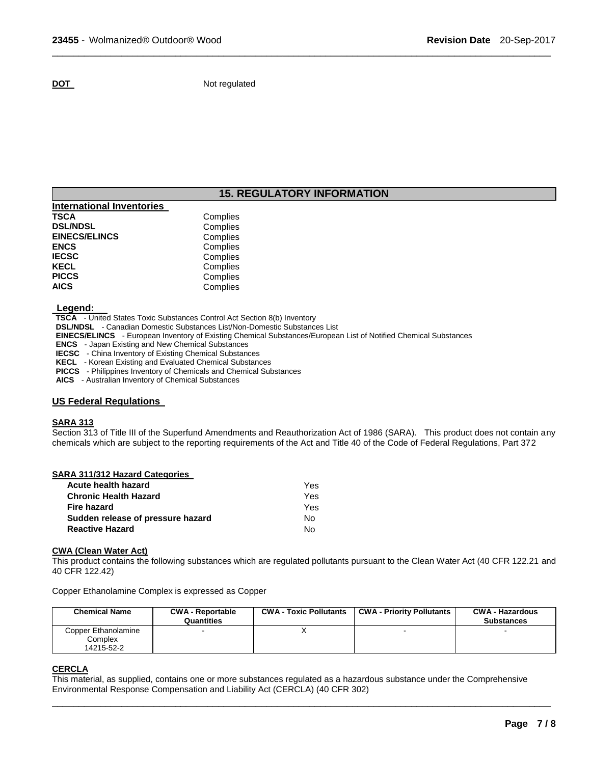**DOT** Not regulated

### **15. REGULATORY INFORMATION**

\_\_\_\_\_\_\_\_\_\_\_\_\_\_\_\_\_\_\_\_\_\_\_\_\_\_\_\_\_\_\_\_\_\_\_\_\_\_\_\_\_\_\_\_\_\_\_\_\_\_\_\_\_\_\_\_\_\_\_\_\_\_\_\_\_\_\_\_\_\_\_\_\_\_\_\_\_\_\_\_\_\_\_\_\_\_\_\_\_\_\_\_\_

| Complies |
|----------|
| Complies |
| Complies |
| Complies |
| Complies |
| Complies |
| Complies |
| Complies |
|          |

#### **Legend:**

**TSCA** - United States Toxic Substances Control Act Section 8(b) Inventory

**DSL/NDSL** - Canadian Domestic Substances List/Non-Domestic Substances List

**EINECS/ELINCS** - European Inventory of Existing Chemical Substances/European List of Notified Chemical Substances

**ENCS** - Japan Existing and New Chemical Substances

**IECSC** - China Inventory of Existing Chemical Substances

**KECL** - Korean Existing and Evaluated Chemical Substances

**PICCS** - Philippines Inventory of Chemicals and Chemical Substances

**AICS** - Australian Inventory of Chemical Substances

#### **US Federal Regulations**

#### **SARA 313**

Section 313 of Title III of the Superfund Amendments and Reauthorization Act of 1986 (SARA). This product does not contain any chemicals which are subject to the reporting requirements of the Act and Title 40 of the Code of Federal Regulations, Part 372

| SARA 311/312 Hazard Categories    |     |
|-----------------------------------|-----|
| Acute health hazard               | Yes |
| <b>Chronic Health Hazard</b>      | Yes |
| Fire hazard                       | Yes |
| Sudden release of pressure hazard | Nο  |
| <b>Reactive Hazard</b>            | N٥  |

#### **CWA (Clean Water Act)**

This product contains the following substances which are regulated pollutants pursuant to the Clean Water Act (40 CFR 122.21 and 40 CFR 122.42)

Copper Ethanolamine Complex is expressed as Copper

| <b>Chemical Name</b>                         | <b>CWA - Reportable</b><br>Quantities | <b>CWA - Toxic Pollutants</b> | <b>CWA - Priority Pollutants</b> | <b>CWA - Hazardous</b><br><b>Substances</b> |
|----------------------------------------------|---------------------------------------|-------------------------------|----------------------------------|---------------------------------------------|
| Copper Ethanolamine<br>Complex<br>14215-52-2 |                                       |                               |                                  |                                             |

#### **CERCLA**

This material, as supplied, contains one or more substances regulated as a hazardous substance under the Comprehensive Environmental Response Compensation and Liability Act (CERCLA) (40 CFR 302)